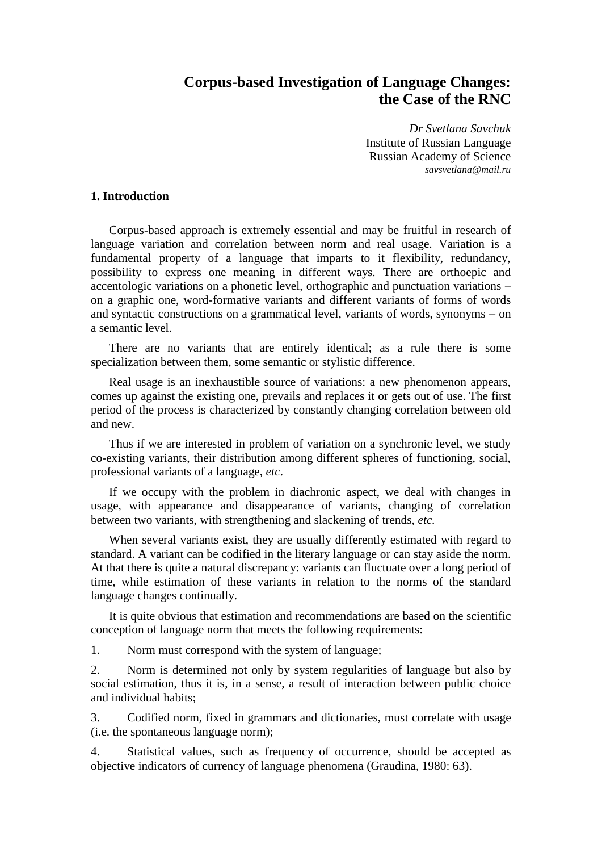# **Corpus-based Investigation of Language Changes: the Case of the RNC**

*Dr Svetlana Savchuk* Institute of Russian Language Russian Academy of Science *savsvetlana@mail.ru*

#### **1. Introduction**

Corpus-based approach is extremely essential and may be fruitful in research of language variation and correlation between norm and real usage. Variation is a fundamental property of a language that imparts to it flexibility, redundancy, possibility to express one meaning in different ways. There are orthoepic and accentologic variations on a phonetic level, orthographic and punctuation variations – on a graphic one, word-formative variants and different variants of forms of words and syntactic constructions on a grammatical level, variants of words, synonyms – on a semantic level.

There are no variants that are entirely identical; as a rule there is some specialization between them, some semantic or stylistic difference.

Real usage is an inexhaustible source of variations: a new phenomenon appears, comes up against the existing one, prevails and replaces it or gets out of use. The first period of the process is characterized by constantly changing correlation between old and new.

Thus if we are interested in problem of variation on a synchronic level, we study co-existing variants, their distribution among different spheres of functioning, social, professional variants of a language, *etc*.

If we occupy with the problem in diachronic aspect, we deal with changes in usage, with appearance and disappearance of variants, changing of correlation between two variants, with strengthening and slackening of trends, *etc.*

When several variants exist, they are usually differently estimated with regard to standard. A variant can be codified in the literary language or can stay aside the norm. At that there is quite a natural discrepancy: variants can fluctuate over a long period of time, while estimation of these variants in relation to the norms of the standard language changes continually.

It is quite obvious that estimation and recommendations are based on the scientific conception of language norm that meets the following requirements:

1. Norm must correspond with the system of language;

2. Norm is determined not only by system regularities of language but also by social estimation, thus it is, in a sense, a result of interaction between public choice and individual habits;

3. Codified norm, fixed in grammars and dictionaries, must correlate with usage (i.e. the spontaneous language norm);

4. Statistical values, such as frequency of occurrence, should be accepted as objective indicators of currency of language phenomena (Graudina, 1980: 63).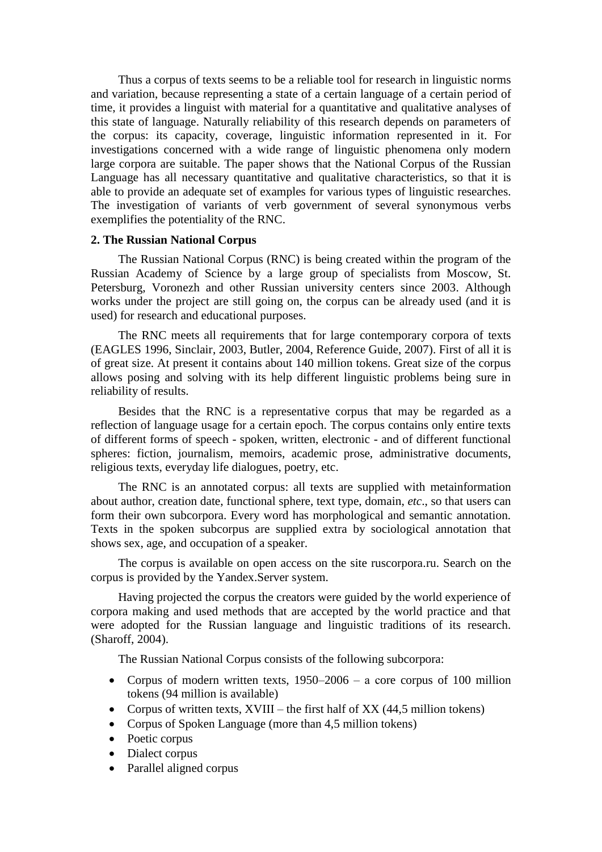Thus a corpus of texts seems to be a reliable tool for research in linguistic norms and variation, because representing a state of a certain language of a certain period of time, it provides a linguist with material for a quantitative and qualitative analyses of this state of language. Naturally reliability of this research depends on parameters of the corpus: its capacity, coverage, linguistic information represented in it. For investigations concerned with a wide range of linguistic phenomena only modern large corpora are suitable. The paper shows that the National Corpus of the Russian Language has all necessary quantitative and qualitative characteristics, so that it is able to provide an adequate set of examples for various types of linguistic researches. The investigation of variants of verb government of several synonymous verbs exemplifies the potentiality of the RNC.

# **2. The Russian National Corpus**

The Russian National Corpus (RNC) is being created within the program of the Russian Academy of Science by a large group of specialists from Moscow, St. Petersburg, Voronezh and other Russian university centers since 2003. Although works under the project are still going on, the corpus can be already used (and it is used) for research and educational purposes.

The RNC meets all requirements that for large contemporary corpora of texts (EAGLES 1996, Sinclair, 2003, Butler, 2004, Reference Guide, 2007). First of all it is of great size. At present it contains about 140 million tokens. Great size of the corpus allows posing and solving with its help different linguistic problems being sure in reliability of results.

Besides that the RNC is a representative corpus that may be regarded as a reflection of language usage for a certain epoch. The corpus contains only entire texts of different forms of speech - spoken, written, electronic - and of different functional spheres: fiction, journalism, memoirs, academic prose, administrative documents, religious texts, everyday life dialogues, poetry, etc.

The RNC is an annotated corpus: all texts are supplied with metainformation about author, creation date, functional sphere, text type, domain, *etc*., so that users can form their own subcorpora. Every word has morphological and semantic annotation. Texts in the spoken subcorpus are supplied extra by sociological annotation that shows sex, age, and occupation of a speaker.

The corpus is available on open access on the site ruscorpora.ru. Search on the corpus is provided by the Yandex.Server system.

Having projected the corpus the creators were guided by the world experience of corpora making and used methods that are accepted by the world practice and that were adopted for the Russian language and linguistic traditions of its research. (Sharoff, 2004).

The Russian National Corpus consists of the following subcorpora:

- Corpus of modern written texts,  $1950-2006 a$  core corpus of 100 million tokens (94 million is available)
- Corpus of written texts,  $XVIII$  the first half of  $XX$  (44,5 million tokens)
- Corpus of Spoken Language (more than 4,5 million tokens)
- Poetic corpus
- Dialect corpus
- Parallel aligned corpus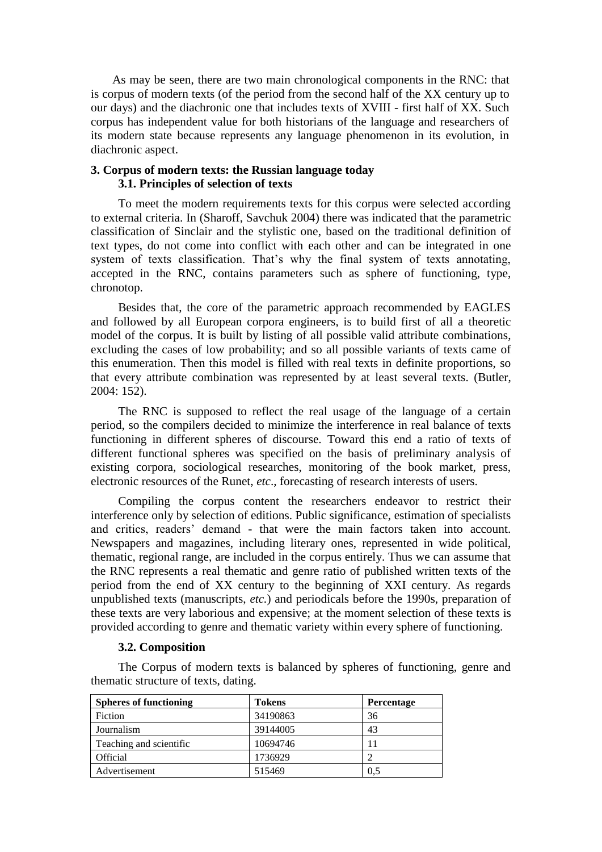As may be seen, there are two main chronological components in the RNC: that is corpus of modern texts (of the period from the second half of the XX century up to our days) and the diachronic one that includes texts of XVIII - first half of XX. Such corpus has independent value for both historians of the language and researchers of its modern state because represents any language phenomenon in its evolution, in diachronic aspect.

# **3. Corpus of modern texts: the Russian language today 3.1. Principles of selection of texts**

To meet the modern requirements texts for this corpus were selected according to external criteria. In (Sharoff, Savchuk 2004) there was indicated that the parametric classification of Sinclair and the stylistic one, based on the traditional definition of text types, do not come into conflict with each other and can be integrated in one system of texts classification. That's why the final system of texts annotating, accepted in the RNC, contains parameters such as sphere of functioning, type, chronotop.

Besides that, the core of the parametric approach recommended by EAGLES and followed by all European corpora engineers, is to build first of all a theoretic model of the corpus. It is built by listing of all possible valid attribute combinations, excluding the cases of low probability; and so all possible variants of texts came of this enumeration. Then this model is filled with real texts in definite proportions, so that every attribute combination was represented by at least several texts. (Butler, 2004: 152).

The RNC is supposed to reflect the real usage of the language of a certain period, so the compilers decided to minimize the interference in real balance of texts functioning in different spheres of discourse. Toward this end a ratio of texts of different functional spheres was specified on the basis of preliminary analysis of existing corpora, sociological researches, monitoring of the book market, press, electronic resources of the Runet, *etc*., forecasting of research interests of users.

Compiling the corpus content the researchers endeavor to restrict their interference only by selection of editions. Public significance, estimation of specialists and critics, readers' demand - that were the main factors taken into account. Newspapers and magazines, including literary ones, represented in wide political, thematic, regional range, are included in the corpus entirely. Thus we can assume that the RNC represents a real thematic and genre ratio of published written texts of the period from the end of XX century to the beginning of XXI century. As regards unpublished texts (manuscripts, *etc.*) and periodicals before the 1990s, preparation of these texts are very laborious and expensive; at the moment selection of these texts is provided according to genre and thematic variety within every sphere of functioning.

### **3.2. Composition**

The Corpus of modern texts is balanced by spheres of functioning, genre and thematic structure of texts, dating.

| <b>Spheres of functioning</b> | <b>Tokens</b> | <b>Percentage</b> |
|-------------------------------|---------------|-------------------|
| Fiction                       | 34190863      | 36                |
| Journalism                    | 39144005      | 43                |
| Teaching and scientific       | 10694746      | 11                |
| Official                      | 1736929       |                   |
| Advertisement                 | 515469        | 0,5               |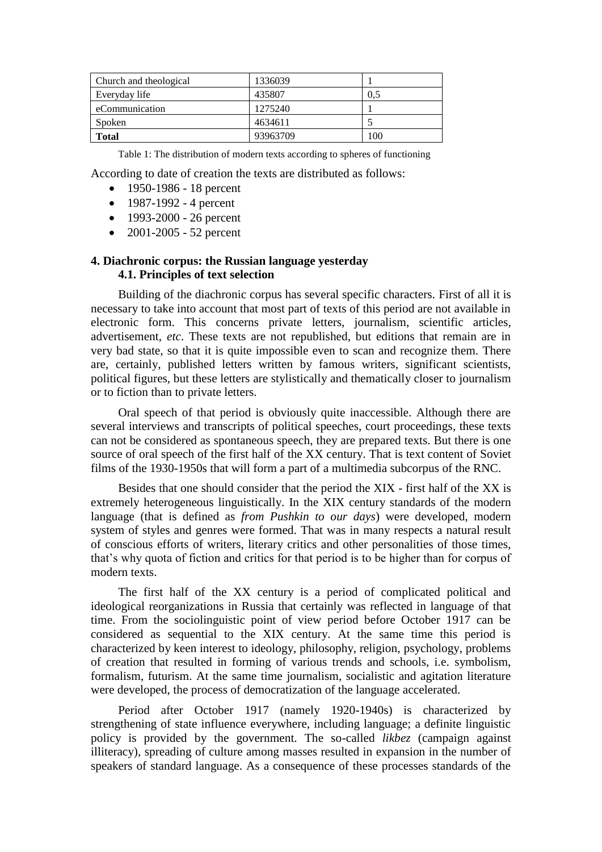| Church and theological | 1336039  |     |
|------------------------|----------|-----|
| Everyday life          | 435807   | 0.5 |
| eCommunication         | 1275240  |     |
| Spoken                 | 4634611  |     |
| <b>Total</b>           | 93963709 | 100 |

Table 1: The distribution of modern texts according to spheres of functioning

According to date of creation the texts are distributed as follows:

- $-1950-1986 18$  percent
- $-1987-1992 4$  percent
- $-1993-2000 26$  percent
- $\bullet$  2001-2005 52 percent

# **4. Diachronic corpus: the Russian language yesterday 4.1. Principles of text selection**

Building of the diachronic corpus has several specific characters. First of all it is necessary to take into account that most part of texts of this period are not available in electronic form. This concerns private letters, journalism, scientific articles, advertisement, *etc*. These texts are not republished, but editions that remain are in very bad state, so that it is quite impossible even to scan and recognize them. There are, certainly, published letters written by famous writers, significant scientists, political figures, but these letters are stylistically and thematically closer to journalism or to fiction than to private letters.

Oral speech of that period is obviously quite inaccessible. Although there are several interviews and transcripts of political speeches, court proceedings, these texts can not be considered as spontaneous speech, they are prepared texts. But there is one source of oral speech of the first half of the XX century. That is text content of Soviet films of the 1930-1950s that will form a part of a multimedia subcorpus of the RNC.

Besides that one should consider that the period the XIX - first half of the XX is extremely heterogeneous linguistically. In the XIX century standards of the modern language (that is defined as *from Pushkin to our days*) were developed, modern system of styles and genres were formed. That was in many respects a natural result of conscious efforts of writers, literary critics and other personalities of those times, that's why quota of fiction and critics for that period is to be higher than for corpus of modern texts.

The first half of the XX century is a period of complicated political and ideological reorganizations in Russia that certainly was reflected in language of that time. From the sociolinguistic point of view period before October 1917 can be considered as sequential to the XIX century. At the same time this period is characterized by keen interest to ideology, philosophy, religion, psychology, problems of creation that resulted in forming of various trends and schools, i.e. symbolism, formalism, futurism. At the same time journalism, socialistic and agitation literature were developed, the process of democratization of the language accelerated.

Period after October 1917 (namely 1920-1940s) is characterized by strengthening of state influence everywhere, including language; a definite linguistic policy is provided by the government. The so-called *likbez* (campaign against illiteracy), spreading of culture among masses resulted in expansion in the number of speakers of standard language. As a consequence of these processes standards of the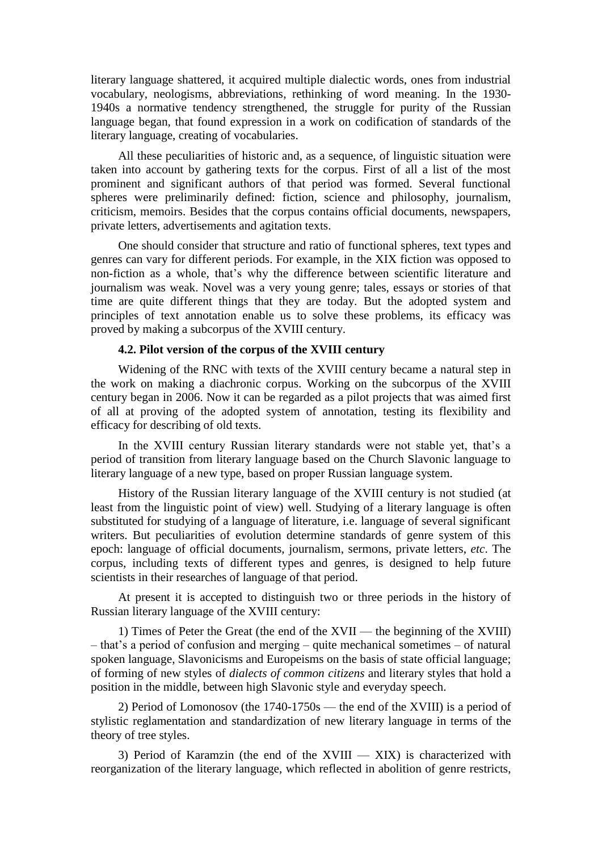literary language shattered, it acquired multiple dialectic words, ones from industrial vocabulary, neologisms, abbreviations, rethinking of word meaning. In the 1930- 1940s a normative tendency strengthened, the struggle for purity of the Russian language began, that found expression in a work on codification of standards of the literary language, creating of vocabularies.

All these peculiarities of historic and, as a sequence, of linguistic situation were taken into account by gathering texts for the corpus. First of all a list of the most prominent and significant authors of that period was formed. Several functional spheres were preliminarily defined: fiction, science and philosophy, journalism, criticism, memoirs. Besides that the corpus contains official documents, newspapers, private letters, advertisements and agitation texts.

One should consider that structure and ratio of functional spheres, text types and genres can vary for different periods. For example, in the XIX fiction was opposed to non-fiction as a whole, that's why the difference between scientific literature and journalism was weak. Novel was a very young genre; tales, essays or stories of that time are quite different things that they are today. But the adopted system and principles of text annotation enable us to solve these problems, its efficacy was proved by making a subcorpus of the XVIII century.

#### **4.2. Pilot version of the corpus of the XVIII century**

Widening of the RNC with texts of the XVIII century became a natural step in the work on making a diachronic corpus. Working on the subcorpus of the XVIII century began in 2006. Now it can be regarded as a pilot projects that was aimed first of all at proving of the adopted system of annotation, testing its flexibility and efficacy for describing of old texts.

In the XVIII century Russian literary standards were not stable yet, that's a period of transition from literary language based on the Church Slavonic language to literary language of a new type, based on proper Russian language system.

History of the Russian literary language of the XVIII century is not studied (at least from the linguistic point of view) well. Studying of a literary language is often substituted for studying of a language of literature, i.e. language of several significant writers. But peculiarities of evolution determine standards of genre system of this epoch: language of official documents, journalism, sermons, private letters, *etc*. The corpus, including texts of different types and genres, is designed to help future scientists in their researches of language of that period.

At present it is accepted to distinguish two or three periods in the history of Russian literary language of the XVIII century:

1) Times of Peter the Great (the end of the XVII — the beginning of the XVIII) – that's a period of confusion and merging – quite mechanical sometimes – of natural spoken language, Slavonicisms and Europeisms on the basis of state official language; of forming of new styles of *dialects of common citizens* and literary styles that hold a position in the middle, between high Slavoniс style and everyday speech.

2) Period of Lomonosov (the 1740-1750s — the end of the XVIII) is a period of stylistic reglamentation and standardization of new literary language in terms of the theory of tree styles.

3) Period of Karamzin (the end of the XVIII  $-$  XIX) is characterized with reorganization of the literary language, which reflected in abolition of genre restricts,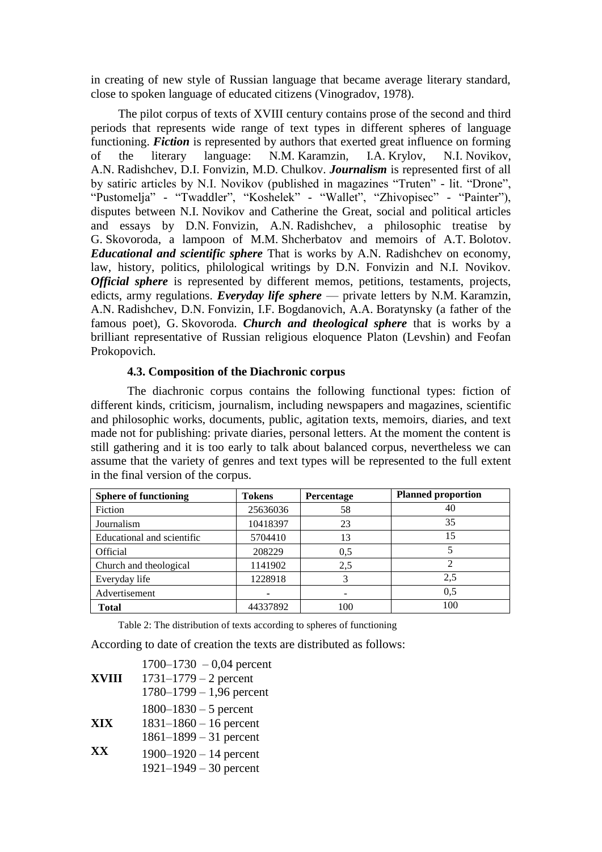in creating of new style of Russian language that became average literary standard, close to spoken language of educated citizens (Vinogradov, 1978).

The pilot corpus of texts of XVIII century contains prose of the second and third periods that represents wide range of text types in different spheres of language functioning. **Fiction** is represented by authors that exerted great influence on forming of the literary language: N.M. Karamzin, I.A. Krylov, N.I. Novikov, A.N. Radishchev, D.I. Fonvizin, M.D. Chulkov. *Journalism* is represented first of all by satiric articles by N.I. Novikov (published in magazines "Truten" - lit. "Drone", "Pustomelja" - "Twaddler", "Koshelek" - "Wallet", "Zhivopisec" - "Painter"), disputes between N.I. Novikov and Catherine the Great, social and political articles and essays by D.N. Fonvizin, A.N. Radishchev, a philosophic treatise by G. Skovoroda, a lampoon of M.M. Shcherbatov and memoirs of A.T. Bolotov. *Educational and scientific sphere* That is works by A.N. Radishchev on economy, law, history, politics, philological writings by D.N. Fonvizin and N.I. Novikov. *Official sphere* is represented by different memos, petitions, testaments, projects, edicts, army regulations. *Everyday life sphere* — private letters by N.M. Karamzin, A.N. Radishchev, D.N. Fonvizin, I.F. Bogdanovich, A.A. Boratynsky (a father of the famous poet), G. Skovoroda. *Church and theological sphere* that is works by a brilliant representative of Russian religious eloquence Platon (Levshin) and Feofan Prokopovich.

#### **4.3. Composition of the Diachronic corpus**

The diachronic corpus contains the following functional types: fiction of different kinds, criticism, journalism, including newspapers and magazines, scientific and philosophic works, documents, public, agitation texts, memoirs, diaries, and text made not for publishing: private diaries, personal letters. At the moment the content is still gathering and it is too early to talk about balanced corpus, nevertheless we can assume that the variety of genres and text types will be represented to the full extent in the final version of the corpus.

| <b>Sphere of functioning</b> | <b>Tokens</b> | Percentage | <b>Planned proportion</b> |
|------------------------------|---------------|------------|---------------------------|
| Fiction                      | 25636036      | 58         | 40                        |
| Journalism                   | 10418397      | 23         | 35                        |
| Educational and scientific   | 5704410       | 13         | 15                        |
| <b>Official</b>              | 208229        | 0,5        |                           |
| Church and theological       | 1141902       | 2.5        | 2                         |
| Everyday life                | 1228918       |            | 2.5                       |
| Advertisement                |               |            | 0.5                       |
| <b>Total</b>                 | 44337892      | 100        | 100                       |

Table 2: The distribution of texts according to spheres of functioning

According to date of creation the texts are distributed as follows:

|              | $1700 - 1730 - 0.04$ percent |
|--------------|------------------------------|
| <b>XVIII</b> | $1731 - 1779 - 2$ percent    |
|              | $1780 - 1799 - 1,96$ percent |
|              | $1800 - 1830 - 5$ percent    |
| XIX          | $1831 - 1860 - 16$ percent   |
|              | $1861 - 1899 - 31$ percent   |
| XX           | $1900 - 1920 - 14$ percent   |
|              | $1921 - 1949 - 30$ percent   |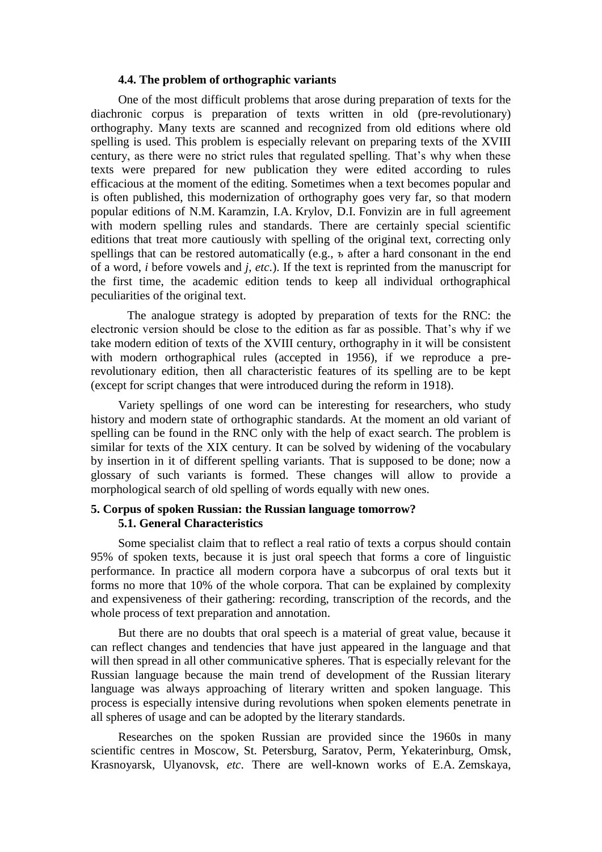#### **4.4. The problem of orthographic variants**

One of the most difficult problems that arose during preparation of texts for the diachronic corpus is preparation of texts written in old (pre-revolutionary) orthography. Many texts are scanned and recognized from old editions where old spelling is used. This problem is especially relevant on preparing texts of the XVIII century, as there were no strict rules that regulated spelling. That's why when these texts were prepared for new publication they were edited according to rules efficacious at the moment of the editing. Sometimes when a text becomes popular and is often published, this modernization of orthography goes very far, so that modern popular editions of N.M. Karamzin, I.A. Krylov, D.I. Fonvizin are in full agreement with modern spelling rules and standards. There are certainly special scientific editions that treat more cautiously with spelling of the original text, correcting only spellings that can be restored automatically (e.g., *ъ* after a hard consonant in the end of a word, *i* before vowels and *j*, *etc*.). If the text is reprinted from the manuscript for the first time, the academic edition tends to keep all individual orthographical peculiarities of the original text.

The analogue strategy is adopted by preparation of texts for the RNC: the electronic version should be close to the edition as far as possible. That's why if we take modern edition of texts of the XVIII century, orthography in it will be consistent with modern orthographical rules (accepted in 1956), if we reproduce a prerevolutionary edition, then all characteristic features of its spelling are to be kept (except for script changes that were introduced during the reform in 1918).

Variety spellings of one word can be interesting for researchers, who study history and modern state of orthographic standards. At the moment an old variant of spelling can be found in the RNC only with the help of exact search. The problem is similar for texts of the XIX century. It can be solved by widening of the vocabulary by insertion in it of different spelling variants. That is supposed to be done; now a glossary of such variants is formed. These changes will allow to provide a morphological search of old spelling of words equally with new ones.

# **5. Corpus of spoken Russian: the Russian language tomorrow? 5.1. General Characteristics**

Some specialist claim that to reflect a real ratio of texts a corpus should contain 95% of spoken texts, because it is just oral speech that forms a core of linguistic performance. In practice all modern corpora have a subcorpus of oral texts but it forms no more that 10% of the whole corpora. That can be explained by complexity and expensiveness of their gathering: recording, transcription of the records, and the whole process of text preparation and annotation.

But there are no doubts that oral speech is a material of great value, because it can reflect changes and tendencies that have just appeared in the language and that will then spread in all other communicative spheres. That is especially relevant for the Russian language because the main trend of development of the Russian literary language was always approaching of literary written and spoken language. This process is especially intensive during revolutions when spoken elements penetrate in all spheres of usage and can be adopted by the literary standards.

Researches on the spoken Russian are provided since the 1960s in many scientific centres in Moscow, St. Petersburg, Saratov, Perm, Yekaterinburg, Omsk, Krasnoyarsk, Ulyanovsk, *etc*. There are well-known works of E.A. Zemskaya,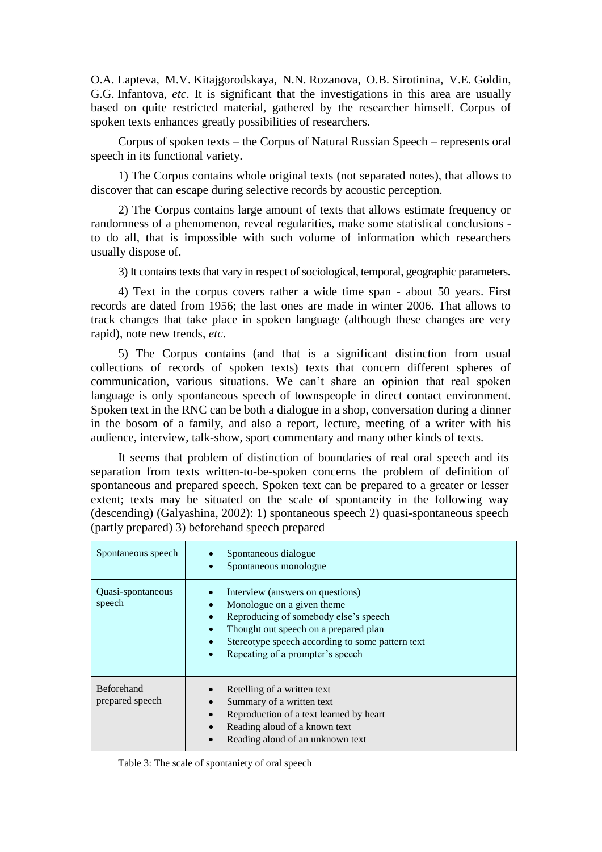O.A. Lapteva, M.V. Kitajgorodskaya, N.N. Rozanova, O.B. Sirotinina, V.E. Goldin, G.G. Infantova, *etc*. It is significant that the investigations in this area are usually based on quite restricted material, gathered by the researcher himself. Corpus of spoken texts enhances greatly possibilities of researchers.

Corpus of spoken texts – the Corpus of Natural Russian Speech – represents oral speech in its functional variety.

1) The Corpus contains whole original texts (not separated notes), that allows to discover that can escape during selective records by acoustic perception.

2) The Corpus contains large amount of texts that allows estimate frequency or randomness of a phenomenon, reveal regularities, make some statistical conclusions to do all, that is impossible with such volume of information which researchers usually dispose of.

3) It contains texts that vary in respect of sociological, temporal, geographic parameters.

4) Text in the corpus covers rather a wide time span - about 50 years. First records are dated from 1956; the last ones are made in winter 2006. That allows to track changes that take place in spoken language (although these changes are very rapid), note new trends, *etc*.

5) The Corpus contains (and that is a significant distinction from usual collections of records of spoken texts) texts that concern different spheres of communication, various situations. We can't share an opinion that real spoken language is only spontaneous speech of townspeople in direct contact environment. Spoken text in the RNC can be both a dialogue in a shop, conversation during a dinner in the bosom of a family, and also a report, lecture, meeting of a writer with his audience, interview, talk-show, sport commentary and many other kinds of texts.

It seems that problem of distinction of boundaries of real oral speech and its separation from texts written-to-be-spoken concerns the problem of definition of spontaneous and prepared speech. Spoken text can be prepared to a greater or lesser extent; texts may be situated on the scale of spontaneity in the following way (descending) (Galyashina, 2002): 1) spontaneous speech 2) quasi-spontaneous speech (partly prepared) 3) beforehand speech prepared

| Spontaneous speech            | Spontaneous dialogue<br>Spontaneous monologue                                                                                                                                                                                                         |
|-------------------------------|-------------------------------------------------------------------------------------------------------------------------------------------------------------------------------------------------------------------------------------------------------|
| Quasi-spontaneous<br>speech   | Interview (answers on questions)<br>Monologue on a given theme<br>Reproducing of somebody else's speech<br>Thought out speech on a prepared plan<br>Stereotype speech according to some pattern text<br>$\bullet$<br>Repeating of a prompter's speech |
| Beforehand<br>prepared speech | Retelling of a written text<br>Summary of a written text<br>Reproduction of a text learned by heart<br>Reading aloud of a known text<br>Reading aloud of an unknown text                                                                              |

Table 3: The scale of spontaniety of oral speech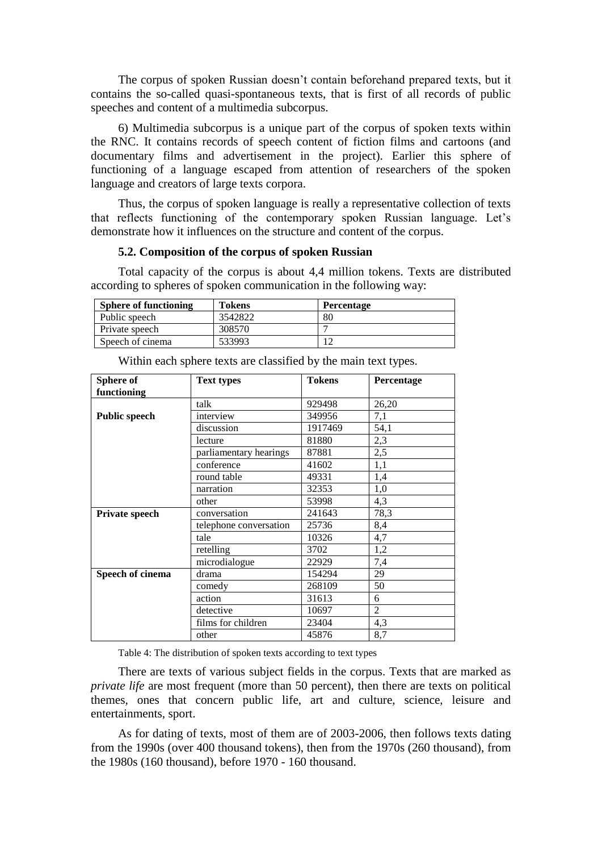The corpus of spoken Russian doesn't contain beforehand prepared texts, but it contains the so-called quasi-spontaneous texts, that is first of all records of public speeches and content of a multimedia subcorpus.

6) Multimedia subcorpus is a unique part of the corpus of spoken texts within the RNC. It contains records of speech content of fiction films and cartoons (and documentary films and advertisement in the project). Earlier this sphere of functioning of a language escaped from attention of researchers of the spoken language and creators of large texts corpora.

Thus, the corpus of spoken language is really a representative collection of texts that reflects functioning of the contemporary spoken Russian language. Let's demonstrate how it influences on the structure and content of the corpus.

# **5.2. Composition of the corpus of spoken Russian**

Total capacity of the corpus is about 4,4 million tokens. Texts are distributed according to spheres of spoken communication in the following way:

| <b>Sphere of functioning</b> | <b>Tokens</b> | <b>Percentage</b> |
|------------------------------|---------------|-------------------|
| Public speech                | 3542822       | 80                |
| Private speech               | 308570        |                   |
| Speech of cinema             | 533993        |                   |

| Sphere of             | <b>Text types</b>      | <b>Tokens</b> | Percentage     |
|-----------------------|------------------------|---------------|----------------|
| functioning           |                        |               |                |
|                       | talk                   | 929498        | 26,20          |
| <b>Public speech</b>  | interview              | 349956        | 7,1            |
|                       | discussion             | 1917469       | 54,1           |
|                       | lecture                | 81880         | 2,3            |
|                       | parliamentary hearings | 87881         | 2,5            |
|                       | conference             | 41602         | 1,1            |
|                       | round table            | 49331         | 1,4            |
|                       | narration              | 32353         | 1,0            |
|                       | other                  | 53998         | 4,3            |
| <b>Private speech</b> | conversation           | 241643        | 78,3           |
|                       | telephone conversation | 25736         | 8,4            |
|                       | tale                   | 10326         | 4,7            |
|                       | retelling              | 3702          | 1,2            |
|                       | microdialogue          | 22929         | 7,4            |
| Speech of cinema      | drama                  | 154294        | 29             |
|                       | comedy                 | 268109        | 50             |
|                       | action                 | 31613         | 6              |
|                       | detective              | 10697         | $\overline{2}$ |
|                       | films for children     | 23404         | 4,3            |
|                       | other                  | 45876         | 8,7            |

Within each sphere texts are classified by the main text types.

Table 4: The distribution of spoken texts according to text types

There are texts of various subject fields in the corpus. Texts that are marked as *private life* are most frequent (more than 50 percent), then there are texts on political themes, ones that concern public life, art and culture, science, leisure and entertainments, sport.

As for dating of texts, most of them are of 2003-2006, then follows texts dating from the 1990s (over 400 thousand tokens), then from the 1970s (260 thousand), from the 1980s (160 thousand), before 1970 - 160 thousand.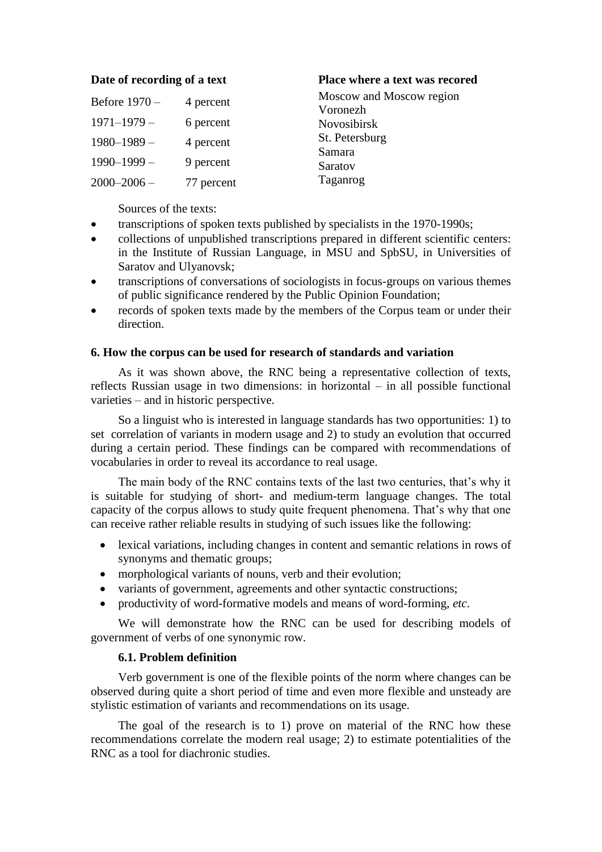| Before 1970 –   | 4 percent  |
|-----------------|------------|
| $1971 - 1979 -$ | 6 percent  |
| $1980 - 1989 -$ | 4 percent  |
| $1990 - 1999$ - | 9 percent  |
| $2000 - 2006$ - | 77 percent |

# **Date of recording of a text Place where a text was recored**

Moscow and Moscow region Voronezh Novosibirsk St. Petersburg Samara Saratov Taganrog

Sources of the texts:

- transcriptions of spoken texts published by specialists in the 1970-1990s;
- collections of unpublished transcriptions prepared in different scientific centers: in the Institute of Russian Language, in MSU and SpbSU, in Universities of Saratov and Ulyanovsk;
- transcriptions of conversations of sociologists in focus-groups on various themes of public significance rendered by the Public Opinion Foundation;
- records of spoken texts made by the members of the Corpus team or under their direction.

### **6. How the corpus can be used for research of standards and variation**

As it was shown above, the RNC being a representative collection of texts, reflects Russian usage in two dimensions: in horizontal – in all possible functional varieties – and in historic perspective.

So a linguist who is interested in language standards has two opportunities: 1) to set correlation of variants in modern usage and 2) to study an evolution that occurred during a certain period. These findings can be compared with recommendations of vocabularies in order to reveal its accordance to real usage.

The main body of the RNC contains texts of the last two centuries, that's why it is suitable for studying of short- and medium-term language changes. The total capacity of the corpus allows to study quite frequent phenomena. That's why that one can receive rather reliable results in studying of such issues like the following:

- lexical variations, including changes in content and semantic relations in rows of synonyms and thematic groups;
- morphological variants of nouns, verb and their evolution;
- variants of government, agreements and other syntactic constructions;
- productivity of word-formative models and means of word-forming, *etc*.

We will demonstrate how the RNC can be used for describing models of government of verbs of one synonymic row.

# **6.1. Problem definition**

Verb government is one of the flexible points of the norm where changes can be observed during quite a short period of time and even more flexible and unsteady are stylistic estimation of variants and recommendations on its usage.

The goal of the research is to 1) prove on material of the RNC how these recommendations correlate the modern real usage; 2) to estimate potentialities of the RNC as a tool for diachronic studies.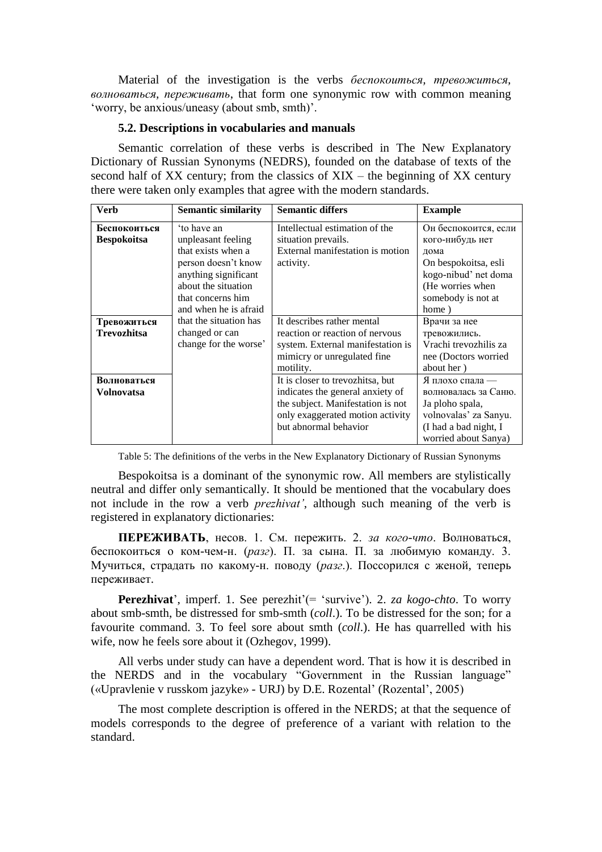Material of the investigation is the verbs *беспокоиться, тревожиться, волноваться, переживать*, that form one synonymic row with common meaning 'worry, be anxious/uneasy (about smb, smth)'.

# **5.2. Descriptions in vocabularies and manuals**

Semantic correlation of these verbs is described in The New Explanatory Dictionary of Russian Synonyms (NEDRS), founded on the database of texts of the second half of XX century; from the classics of  $XIX$  – the beginning of XX century there were taken only examples that agree with the modern standards.

| <b>Verb</b>                        | <b>Semantic similarity</b>                                                                                                                                                                                                                                                            | <b>Semantic differs</b>                                                                                                                                                | <b>Example</b>                                                                                                                                     |  |
|------------------------------------|---------------------------------------------------------------------------------------------------------------------------------------------------------------------------------------------------------------------------------------------------------------------------------------|------------------------------------------------------------------------------------------------------------------------------------------------------------------------|----------------------------------------------------------------------------------------------------------------------------------------------------|--|
| Беспокоиться<br><b>Bespokoitsa</b> | 'to have an<br>Intellectual estimation of the<br>unpleasant feeling<br>situation prevails.<br>that exists when a<br>External manifestation is motion<br>person doesn't know<br>activity.<br>anything significant<br>about the situation<br>that concerns him<br>and when he is afraid |                                                                                                                                                                        | Он беспокоится, если<br>кого-нибудь нет<br>дома<br>On bespokoitsa, esli<br>kogo-nibud' net doma<br>(He worries when<br>somebody is not at<br>home) |  |
| Тревожиться<br><b>Trevozhitsa</b>  | that the situation has<br>changed or can<br>change for the worse'                                                                                                                                                                                                                     | It describes rather mental<br>reaction or reaction of nervous<br>system. External manifestation is<br>mimicry or unregulated fine.<br>motility.                        | Врачи за нее<br>тревожились.<br>Vrachi trevozhilis za<br>nee (Doctors worried)<br>about her)                                                       |  |
| Волноваться<br>Volnovatsa          |                                                                                                                                                                                                                                                                                       | It is closer to trevozhitsa, but<br>indicates the general anxiety of<br>the subject. Manifestation is not<br>only exaggerated motion activity<br>but abnormal behavior | Я плохо спала —<br>волновалась за Саню.<br>Ja ploho spala,<br>volnovalas' za Sanyu.<br>(I had a bad night, I<br>worried about Sanya)               |  |

Table 5: The definitions of the verbs in the New Explanatory Dictionary of Russian Synonyms

Bespokoitsa is a dominant of the synonymic row. All members are stylistically neutral and differ only semantically. It should be mentioned that the vocabulary does not include in the row a verb *prezhivat'*, although such meaning of the verb is registered in explanatory dictionaries:

**ПЕРЕЖИВАТЬ**, несов. 1. См. пережить. 2. *за кого-что*. Волноваться, беспокоиться о ком-чем-н. (*разг*). П. за сына. П. за любимую команду. 3. Мучиться, страдать по какому-н. поводу (*разг*.). Поссорился с женой, теперь переживает.

**Perezhivat**', imperf. 1. See perezhit'(= 'survive'). 2. *za kogo-chto*. To worry about smb-smth, be distressed for smb-smth (*coll*.). To be distressed for the son; for a favourite command. 3. To feel sore about smth (*coll*.). He has quarrelled with his wife, now he feels sore about it (Ozhegov, 1999).

All verbs under study can have a dependent word. That is how it is described in the NERDS and in the vocabulary "Government in the Russian language" («Upravlenie v russkom jazyke» - URJ) by D.E. Rozental' (Rozental', 2005)

The most complete description is offered in the NERDS; at that the sequence of models corresponds to the degree of preference of a variant with relation to the standard.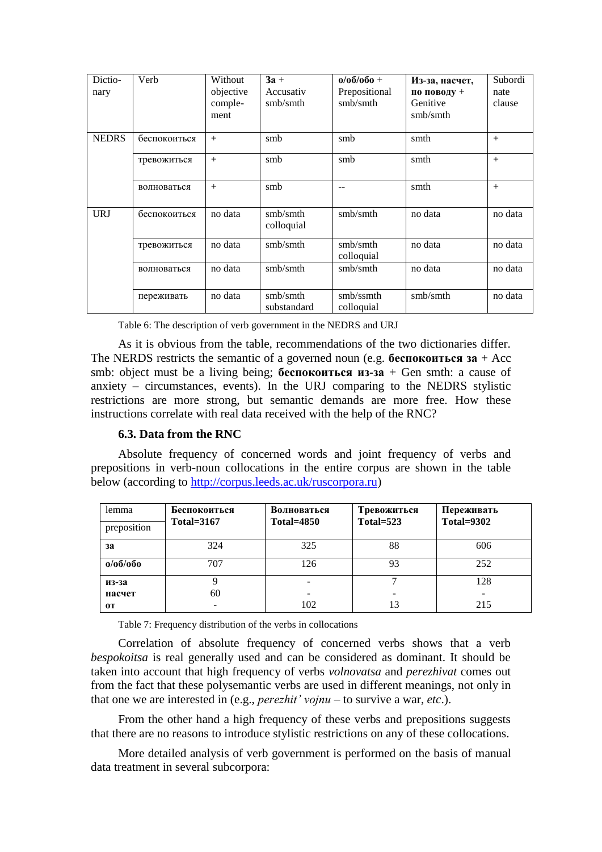| Dictio-<br>nary | Verb         | Without<br>objective<br>comple-<br>ment | $3a +$<br>Accusativ<br>smb/smth | $o/o 6/o 6o +$<br>Prepositional<br>smb/smth | Из-за, насчет,<br>по поводу +<br>Genitive<br>smb/smth | Subordi<br>nate<br>clause |
|-----------------|--------------|-----------------------------------------|---------------------------------|---------------------------------------------|-------------------------------------------------------|---------------------------|
| <b>NEDRS</b>    | беспокоиться | $+$                                     | smb                             | smb                                         | smth                                                  | $^{+}$                    |
|                 | тревожиться  | $+$                                     | smb                             | smb                                         | smth                                                  | $^{+}$                    |
|                 | волноваться  | $+$                                     | smb                             |                                             | smth                                                  | $^{+}$                    |
| <b>URJ</b>      | беспокоиться | no data                                 | smb/smth<br>colloquial          | smb/smth                                    | no data                                               | no data                   |
|                 | тревожиться  | no data                                 | smb/smth                        | smb/smth<br>colloquial                      | no data                                               | no data                   |
|                 | волноваться  | no data                                 | smb/smth                        | smb/smth                                    | no data                                               | no data                   |
|                 | переживать   | no data                                 | smb/smth<br>substandard         | smb/ssmth<br>colloquial                     | smb/smth                                              | no data                   |

Table 6: The description of verb government in the NEDRS and URJ

As it is obvious from the table, recommendations of the two dictionaries differ. The NERDS restricts the semantic of a governed noun (e.g. **беспокоиться за** + Acc smb: object must be a living being; **беспокоиться из-за** + Gen smth: a cause of anxiety – circumstances, events). In the URJ comparing to the NEDRS stylistic restrictions are more strong, but semantic demands are more free. How these instructions correlate with real data received with the help of the RNC?

#### **6.3. Data from the RNC**

Absolute frequency of concerned words and joint frequency of verbs and prepositions in verb-noun collocations in the entire corpus are shown in the table below (according to [http://corpus.leeds.ac.uk/ruscorpora.ru\)](http://corpus.leeds.ac.uk/ruscorpora.ru)

| lemma<br>preposition        | Беспокоиться<br>Total= $3167$ | Волноваться<br><b>Total=4850</b> | Тревожиться<br>Total=523 | Переживать<br><b>Total=9302</b> |
|-----------------------------|-------------------------------|----------------------------------|--------------------------|---------------------------------|
| <b>3a</b>                   | 324                           | 325                              | 88                       | 606                             |
| $o/o$ $\bar{o}/o$ $\bar{o}$ | 707                           | 126                              | 93                       | 252                             |
| из-за<br>насчет             | 60                            |                                  |                          | 128                             |
| <b>OT</b>                   |                               | 102                              | 13                       | 215                             |

Table 7: Frequency distribution of the verbs in collocations

Correlation of absolute frequency of concerned verbs shows that a verb *bespokoitsa* is real generally used and can be considered as dominant. It should be taken into account that high frequency of verbs *volnovatsa* and *perezhivat* comes out from the fact that these polysemantic verbs are used in different meanings, not only in that one we are interested in (e.g., *perezhit' vojnu* – to survive a war, *etc*.).

From the other hand a high frequency of these verbs and prepositions suggests that there are no reasons to introduce stylistic restrictions on any of these collocations.

More detailed analysis of verb government is performed on the basis of manual data treatment in several subcorpora: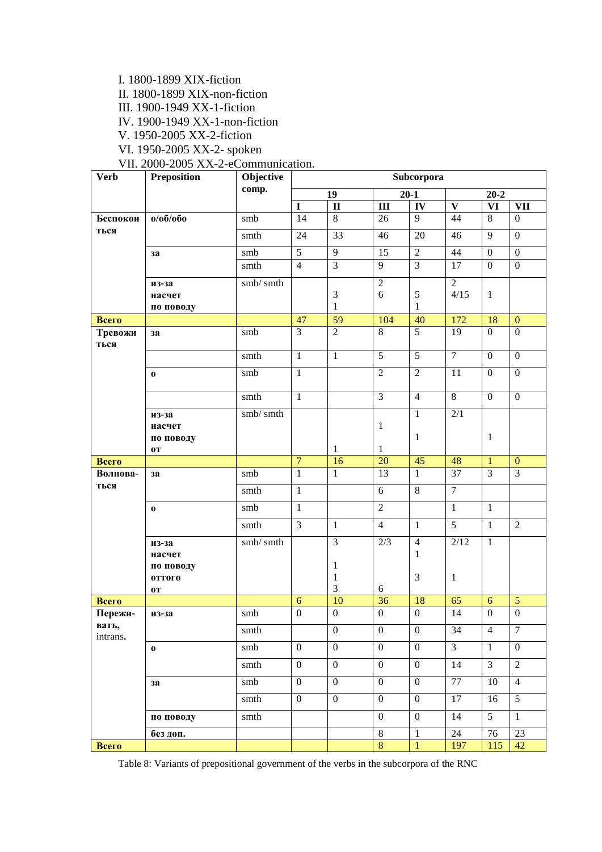- I. 1800-1899 XIX-fiction
- II. 1800-1899 XIX-non-fiction
- III. 1900-1949 XX-1-fiction

IV. 1900-1949 XX-1-non-fiction

V. 1950-2005 XX-2-fiction

VI. 1950-2005 XX-2- spoken

VII. 2000-2005 XX-2-eCommunication.

| <b>Verb</b>       | <b>Preposition</b>     | Objective                 | Subcorpora       |                             |                  |                  |                         |                  |                  |
|-------------------|------------------------|---------------------------|------------------|-----------------------------|------------------|------------------|-------------------------|------------------|------------------|
|                   |                        | comp.                     |                  | $\overline{19}$             |                  | $20-1$           |                         | $20 - 2$         |                  |
|                   |                        |                           | $\mathbf I$      | $\mathbf{I}$                | $\rm III$        | IV               | $\overline{\mathbf{V}}$ | <b>VI</b>        | <b>VII</b>       |
| Беспокои          | 0/00/000               | smb                       | 14               | 8                           | 26               | 9                | 44                      | $\overline{8}$   | $\overline{0}$   |
| ться              |                        | smth                      | 24               | 33                          | 46               | 20               | 46                      | 9                | $\overline{0}$   |
|                   | <b>3a</b>              | smb                       | $\overline{5}$   | $\overline{9}$              | $\overline{15}$  | $\overline{2}$   | 44                      | $\mathbf{0}$     | $\overline{0}$   |
|                   |                        | smth                      | $\overline{4}$   | $\overline{3}$              | $\overline{9}$   | $\overline{3}$   | $\overline{17}$         | $\overline{0}$   | $\overline{0}$   |
|                   | из-за                  | smb/smth                  |                  |                             | $\overline{2}$   |                  | $\overline{2}$          |                  |                  |
|                   | насчет                 |                           |                  | $\ensuremath{\mathfrak{Z}}$ | 6                | $\sqrt{5}$       | 4/15                    | $\mathbf{1}$     |                  |
|                   | по поводу              |                           |                  | $\mathbf{1}$                |                  | $\mathbf{1}$     |                         |                  |                  |
| Всего             |                        |                           | 47               | $\overline{59}$             | 104              | $\overline{40}$  | 172                     | 18               | $\mathbf{0}$     |
| Тревожи<br>ться   | <b>3a</b>              | smb                       | $\overline{3}$   | $\overline{2}$              | $\overline{8}$   | $\overline{5}$   | $\overline{19}$         | $\overline{0}$   | $\overline{0}$   |
|                   |                        | smth                      | $\mathbf{1}$     | $\mathbf{1}$                | $\overline{5}$   | $\overline{5}$   | $\overline{7}$          | $\overline{0}$   | $\mathbf{0}$     |
|                   | $\mathbf 0$            | smb                       | $\mathbf{1}$     |                             | $\overline{2}$   | $\overline{2}$   | 11                      | $\overline{0}$   | $\boldsymbol{0}$ |
|                   |                        | smth                      | $\mathbf{1}$     |                             | $\overline{3}$   | $\overline{4}$   | $\overline{8}$          | $\mathbf{0}$     | $\boldsymbol{0}$ |
|                   | из-за                  | smb/smth                  |                  |                             |                  | $\mathbf{1}$     | 2/1                     |                  |                  |
|                   | насчет                 |                           |                  |                             | $\mathbf{1}$     |                  |                         |                  |                  |
|                   | по поводу              |                           |                  |                             |                  | $\mathbf{1}$     |                         | $\mathbf{1}$     |                  |
|                   | <b>OT</b>              |                           |                  | $\mathbf{1}$                | 1                |                  |                         |                  |                  |
| Всего             |                        |                           | $\overline{7}$   | 16                          | 20               | 45               | 48                      | $\mathbf{1}$     | $\mathbf{0}$     |
| Волнова-<br>ться  | <b>3a</b>              | smb                       | $\overline{1}$   | $\overline{1}$              | 13               | $\mathbf{1}$     | 37                      | $\overline{3}$   | $\overline{3}$   |
|                   |                        | smth                      | $\overline{1}$   |                             | $\overline{6}$   | $\overline{8}$   | $\overline{7}$          |                  |                  |
|                   | $\bf{0}$               | smb                       | $\mathbf{1}$     |                             | $\overline{2}$   |                  | $\mathbf{1}$            | $\mathbf{1}$     |                  |
|                   |                        | smth                      | 3                | $\mathbf{1}$                | $\overline{4}$   | $\mathbf{1}$     | $\overline{5}$          | $\mathbf{1}$     | $\overline{2}$   |
|                   | из-за                  | smb/smth                  |                  | $\overline{3}$              | 2/3              | $\overline{4}$   | 2/12                    | $\mathbf{1}$     |                  |
|                   | насчет                 |                           |                  |                             |                  | $\mathbf{1}$     |                         |                  |                  |
|                   | по поводу              |                           |                  | $\mathbf{1}$                |                  |                  |                         |                  |                  |
|                   | <b>ОТТОГО</b>          |                           |                  | $\mathbf{1}$<br>3           | $\sqrt{6}$       | $\mathfrak{Z}$   | $\mathbf{1}$            |                  |                  |
| Всего             | $\mathbf{O}\mathbf{T}$ |                           | 6                | 10                          | 36               | 18               | 65                      | $\sqrt{6}$       | $\sqrt{5}$       |
| Пережи-           | из-за                  | smb                       | $\boldsymbol{0}$ | $\mathbf{0}$                | $\overline{0}$   | $\mathbf{0}$     | 14                      | $\boldsymbol{0}$ | $\overline{0}$   |
| вать,<br>intrans. |                        | smth                      |                  | $\boldsymbol{0}$            | $\boldsymbol{0}$ | $\boldsymbol{0}$ | 34                      | $\overline{4}$   | $\boldsymbol{7}$ |
|                   | $\mathbf 0$            | smb                       | $\boldsymbol{0}$ | $\boldsymbol{0}$            | $\boldsymbol{0}$ | $\mathbf{0}$     | $\overline{3}$          | $\mathbf{1}$     | $\overline{0}$   |
|                   |                        | smth                      | $\boldsymbol{0}$ | $\boldsymbol{0}$            | $\overline{0}$   | $\overline{0}$   | 14                      | $\overline{3}$   | $\overline{2}$   |
|                   | 3a                     | $\ensuremath{\text{smb}}$ | $\boldsymbol{0}$ | $\boldsymbol{0}$            | $\boldsymbol{0}$ | $\boldsymbol{0}$ | 77                      | 10               | $\overline{4}$   |
|                   |                        | smth                      | $\boldsymbol{0}$ | $\boldsymbol{0}$            | $\boldsymbol{0}$ | $\boldsymbol{0}$ | 17                      | 16               | 5                |
|                   | по поводу              | smth                      |                  |                             | $\overline{0}$   | $\overline{0}$   | 14                      | $\overline{5}$   | $\overline{1}$   |
|                   | без доп.               |                           |                  |                             | $\overline{8}$   | $\mathbf{1}$     | 24                      | 76               | 23               |
| Всего             |                        |                           |                  |                             | $\overline{8}$   | $\mathbf{1}$     | 197                     | 115              | 42               |

Table 8: Variants of prepositional government of the verbs in the subcorpora of the RNC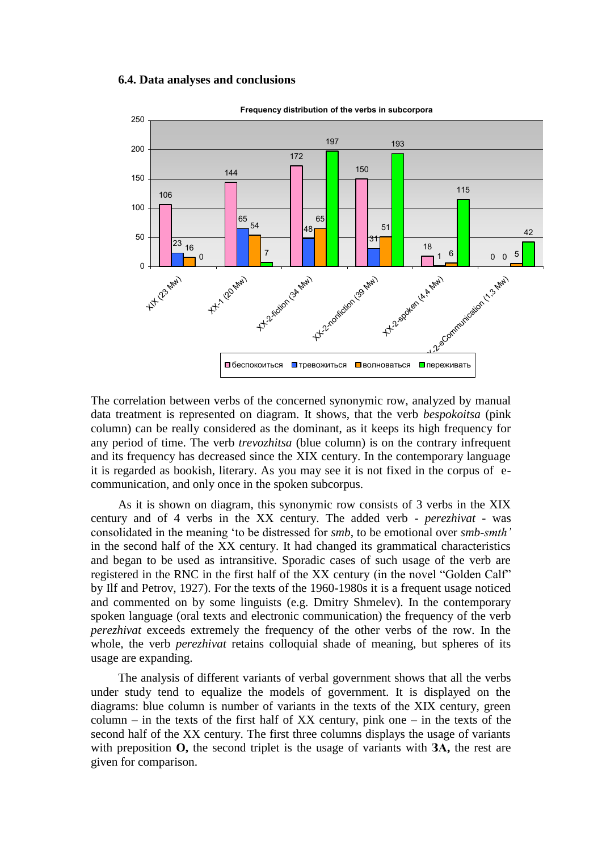#### **6.4. Data analyses and conclusions**



The correlation between verbs of the concerned synonymic row, analyzed by manual data treatment is represented on diagram. It shows, that the verb *bespokoitsa* (pink column) can be really considered as the dominant, as it keeps its high frequency for any period of time. The verb *trevozhitsa* (blue column) is on the contrary infrequent and its frequency has decreased since the XIX century. In the contemporary language it is regarded as bookish, literary. As you may see it is not fixed in the corpus of ecommunication, and only once in the spoken subcorpus.

As it is shown on diagram, this synonymic row consists of 3 verbs in the XIX century and of 4 verbs in the XX century. The added verb - *perezhivat* - was consolidated in the meaning 'to be distressed for *smb*, to be emotional over *smb-smth'* in the second half of the XX century. It had changed its grammatical characteristics and began to be used as intransitive. Sporadic cases of such usage of the verb are registered in the RNC in the first half of the XX century (in the novel "Golden Calf" by Ilf and Petrov, 1927). For the texts of the 1960-1980s it is a frequent usage noticed and commented on by some linguists (e.g. Dmitry Shmelev). In the contemporary spoken language (oral texts and electronic communication) the frequency of the verb *perezhivat* exceeds extremely the frequency of the other verbs of the row. In the whole, the verb *perezhivat* retains colloquial shade of meaning, but spheres of its usage are expanding.

The analysis of different variants of verbal government shows that all the verbs under study tend to equalize the models of government. It is displayed on the diagrams: blue column is number of variants in the texts of the XIX century, green column – in the texts of the first half of  $XX$  century, pink one – in the texts of the second half of the XX century. The first three columns displays the usage of variants with preposition **O**, the second triplet is the usage of variants with **3A**, the rest are given for comparison.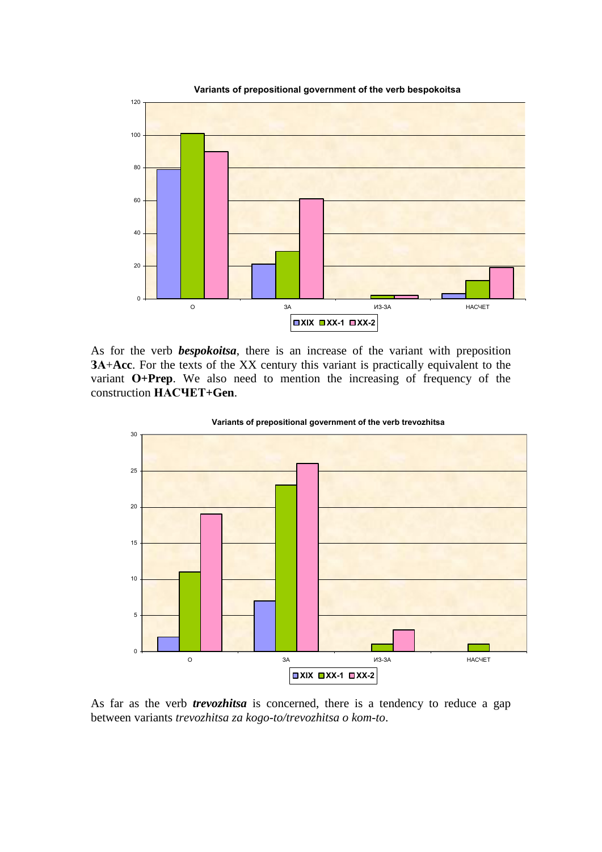

As for the verb *bespokoitsa*, there is an increase of the variant with preposition **ЗА**+**Acc**. For the texts of the XX century this variant is practically equivalent to the variant **О+Prep**. We also need to mention the increasing of frequency of the construction **НАСЧЕТ+Gen**.



**Variants of prepositional government of the verb trevozhitsa**

As far as the verb *trevozhitsa* is concerned, there is a tendency to reduce a gap between variants *trevozhitsa za kogo-to/trevozhitsa o kom-to*.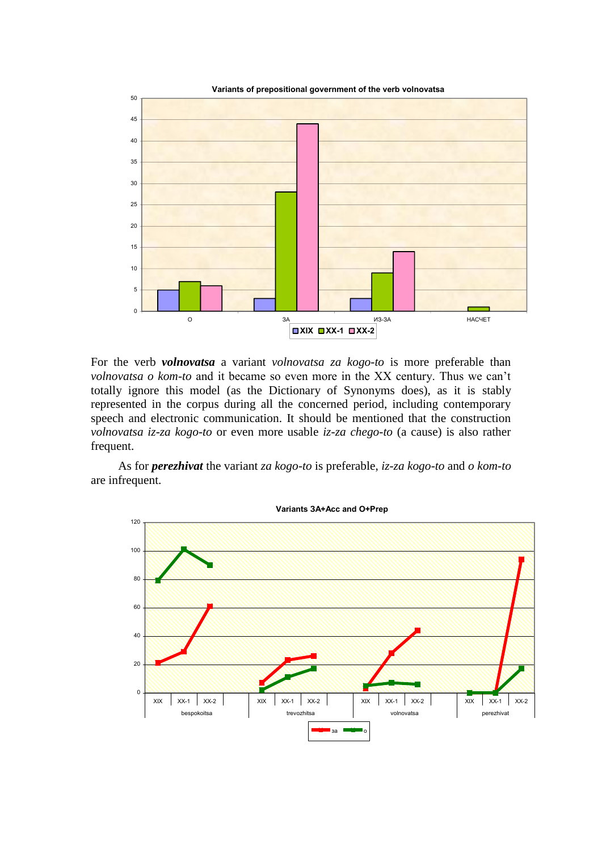

For the verb *volnovatsa* a variant *volnovatsa za kogo-to* is more preferable than *volnovatsa o kom-to* and it became so even more in the XX century. Thus we can't totally ignore this model (as the Dictionary of Synonyms does), as it is stably represented in the corpus during all the concerned period, including contemporary speech and electronic communication. It should be mentioned that the construction *volnovatsa iz-za kogo-to* or even more usable *iz-za chego-to* (a cause) is also rather frequent.

As for *perezhivat* the variant *za kogo-to* is preferable, *iz-za kogo-to* and *o kom-to* are infrequent.



**Variants ЗА+Acc and O+Prep**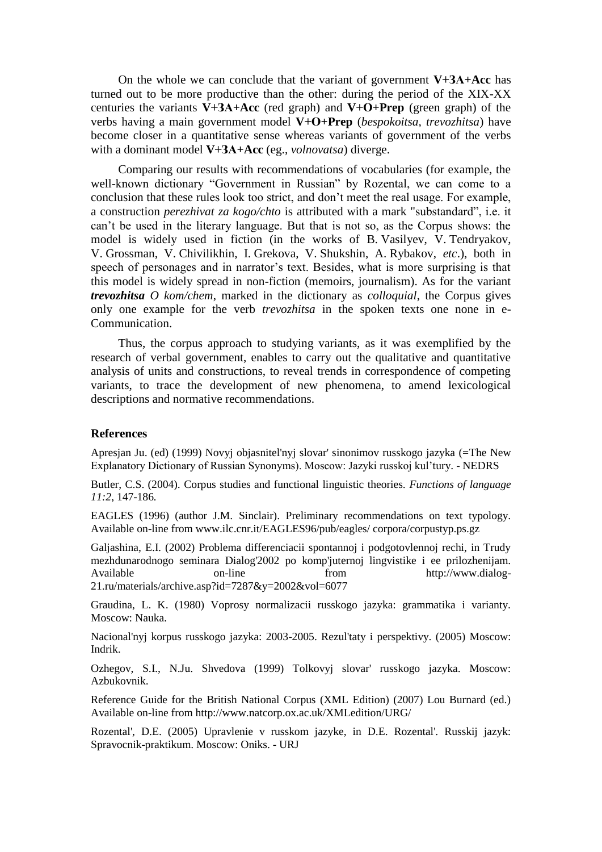On the whole we can conclude that the variant of government **V+ЗА+Acc** has turned out to be more productive than the other: during the period of the XIX-XX centuries the variants **V+ЗА+Acc** (red graph) and **V+О+Prep** (green graph) of the verbs having a main government model **V+О+Prep** (*bespokoitsa, trevozhitsa*) have become closer in a quantitative sense whereas variants of government of the verbs with a dominant model **V+ЗА+Acc** (eg., *volnovatsa*) diverge.

Comparing our results with recommendations of vocabularies (for example, the well-known dictionary "Government in Russian" by Rozental, we can come to a conclusion that these rules look too strict, and don't meet the real usage. For example, a construction *perezhivat za kogo/chto* is attributed with a mark "substandard", i.e. it can't be used in the literary language. But that is not so, as the Corpus shows: the model is widely used in fiction (in the works of B. Vasilyev, V. Tendryakov, V. Grossman, V. Chivilikhin, I. Grekova, V. Shukshin, A. Rybakov, *etc*.), both in speech of personages and in narrator's text. Besides, what is more surprising is that this model is widely spread in non-fiction (memoirs, journalism). As for the variant *trevozhitsa O kom/chem*, marked in the dictionary as *colloquial*, the Corpus gives only one example for the verb *trevozhitsa* in the spoken texts one none in e-Communication.

Thus, the corpus approach to studying variants, as it was exemplified by the research of verbal government, enables to carry out the qualitative and quantitative analysis of units and constructions, to reveal trends in correspondence of competing variants, to trace the development of new phenomena, to amend lexicological descriptions and normative recommendations.

#### **References**

Apresjan Ju. (ed) (1999) Novyj objasnitel'nyj slovar' sinonimov russkogo jazyka (=The New Explanatory Dictionary of Russian Synonyms). Moscow: Jazyki russkoj kul'tury. - NEDRS

Butler, C.S. (2004). Corpus studies and functional linguistic theories. *Functions of language 11:2*, 147-186*.* 

EAGLES (1996) (author J.M. Sinclair). Preliminary recommendations on text typology. Available on-line from www.ilc.cnr.it/EAGLES96/pub/eagles/ corpora/corpustyp.ps.gz

Galjashina, E.I. (2002) Problema differenciacii spontannoj i podgotovlennoj rechi, in Trudy mezhdunarodnogo seminara Dialog'2002 po komp'juternoj lingvistike i ee prilozhenijam. Available on-line from http://www.dialog-21.ru/materials/archive.asp?id=7287&y=2002&vol=6077

Graudina, L. K. (1980) Voprosy normalizacii russkogo jazyka: grammatika i varianty. Moscow: Nauka.

Nacional'nyj korpus russkogo jazyka: 2003-2005. Rezul'taty i perspektivy. (2005) Moscow: Indrik.

Ozhegov, S.I., N.Ju. Shvedova (1999) Tolkovyj slovar' russkogo jazyka. Moscow: Azbukovnik.

Reference Guide for the British National Corpus (XML Edition) (2007) Lou Burnard (ed.) Available on-line from http://www.natcorp.ox.ac.uk/XMLedition/URG/

Rozental', D.E. (2005) Upravlenie v russkom jazyke, in D.E. Rozental'. Russkij jazyk: Spravocnik-praktikum. Moscow: Oniks. - URJ